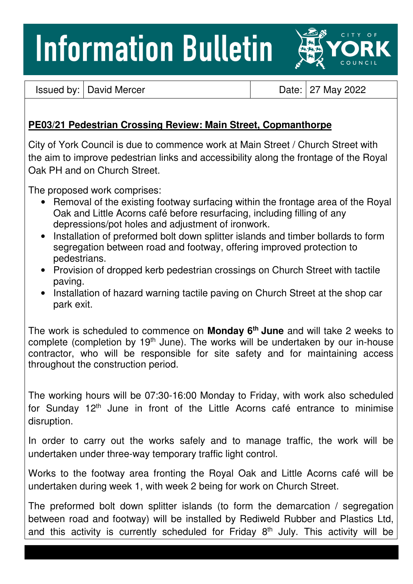## **Information Bulletin**



Issued by: David Mercer Date: 27 May 2022

## **PE03/21 Pedestrian Crossing Review: Main Street, Copmanthorpe**

City of York Council is due to commence work at Main Street / Church Street with the aim to improve pedestrian links and accessibility along the frontage of the Royal Oak PH and on Church Street.

The proposed work comprises:

- Removal of the existing footway surfacing within the frontage area of the Royal Oak and Little Acorns café before resurfacing, including filling of any depressions/pot holes and adjustment of ironwork.
- Installation of preformed bolt down splitter islands and timber bollards to form segregation between road and footway, offering improved protection to pedestrians.
- Provision of dropped kerb pedestrian crossings on Church Street with tactile paving.
- Installation of hazard warning tactile paving on Church Street at the shop car park exit.

The work is scheduled to commence on **Monday 6th June** and will take 2 weeks to complete (completion by 19<sup>th</sup> June). The works will be undertaken by our in-house contractor, who will be responsible for site safety and for maintaining access throughout the construction period.

The working hours will be 07:30-16:00 Monday to Friday, with work also scheduled for Sunday 12<sup>th</sup> June in front of the Little Acorns café entrance to minimise disruption.

In order to carry out the works safely and to manage traffic, the work will be undertaken under three-way temporary traffic light control.

Works to the footway area fronting the Royal Oak and Little Acorns café will be undertaken during week 1, with week 2 being for work on Church Street.

The preformed bolt down splitter islands (to form the demarcation / segregation between road and footway) will be installed by Rediweld Rubber and Plastics Ltd, and this activity is currently scheduled for Friday  $8<sup>th</sup>$  July. This activity will be